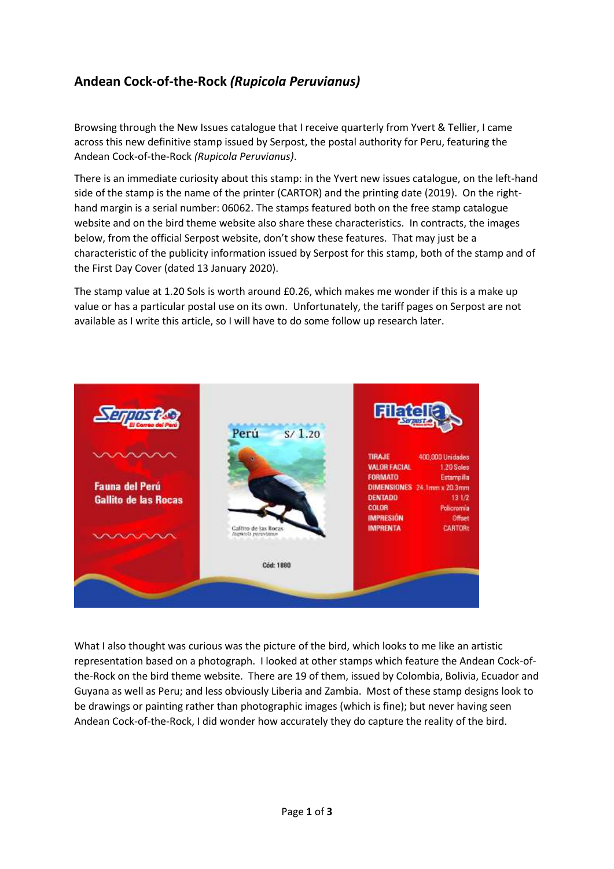## **Andean Cock-of-the-Rock** *(Rupicola Peruvianus)*

Browsing through the New Issues catalogue that I receive quarterly from Yvert & Tellier, I came across this new definitive stamp issued by Serpost, the postal authority for Peru, featuring the Andean Cock-of-the-Rock *(Rupicola Peruvianus)*.

There is an immediate curiosity about this stamp: in the Yvert new issues catalogue, on the left-hand side of the stamp is the name of the printer (CARTOR) and the printing date (2019). On the righthand margin is a serial number: 06062. The stamps featured both on the free stamp catalogue website and on the bird theme website also share these characteristics. In contracts, the images below, from the official Serpost website, don't show these features. That may just be a characteristic of the publicity information issued by Serpost for this stamp, both of the stamp and of the First Day Cover (dated 13 January 2020).

The stamp value at 1.20 Sols is worth around £0.26, which makes me wonder if this is a make up value or has a particular postal use on its own. Unfortunately, the tariff pages on Serpost are not available as I write this article, so I will have to do some follow up research later.



What I also thought was curious was the picture of the bird, which looks to me like an artistic representation based on a photograph. I looked at other stamps which feature the Andean Cock-ofthe-Rock on the bird theme website. There are 19 of them, issued by Colombia, Bolivia, Ecuador and Guyana as well as Peru; and less obviously Liberia and Zambia. Most of these stamp designs look to be drawings or painting rather than photographic images (which is fine); but never having seen Andean Cock-of-the-Rock, I did wonder how accurately they do capture the reality of the bird.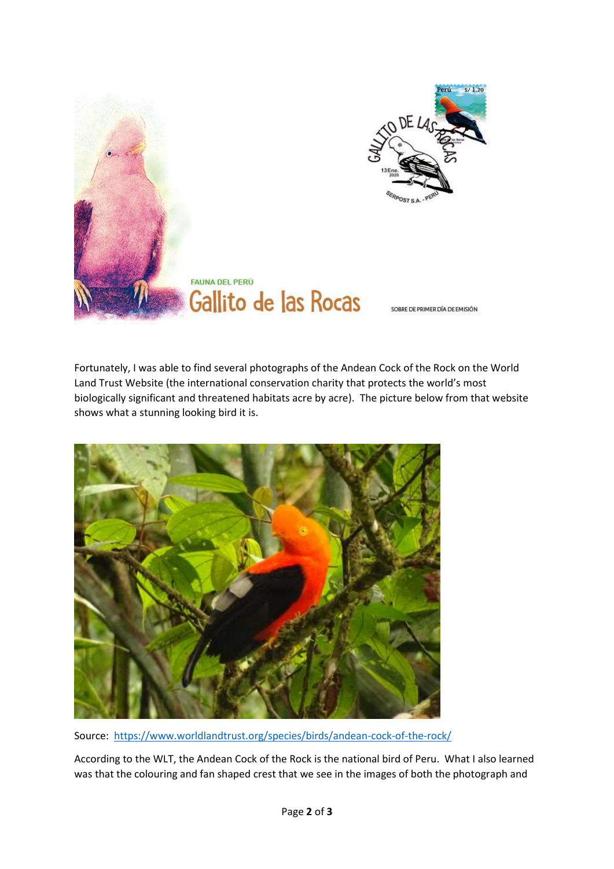

Fortunately, I was able to find several photographs of the Andean Cock of the Rock on the World Land Trust Website (the international conservation charity that protects the world's most biologically significant and threatened habitats acre by acre). The picture below from that website shows what a stunning looking bird it is.



Source:<https://www.worldlandtrust.org/species/birds/andean-cock-of-the-rock/>

According to the WLT, the Andean Cock of the Rock is the national bird of Peru. What I also learned was that the colouring and fan shaped crest that we see in the images of both the photograph and